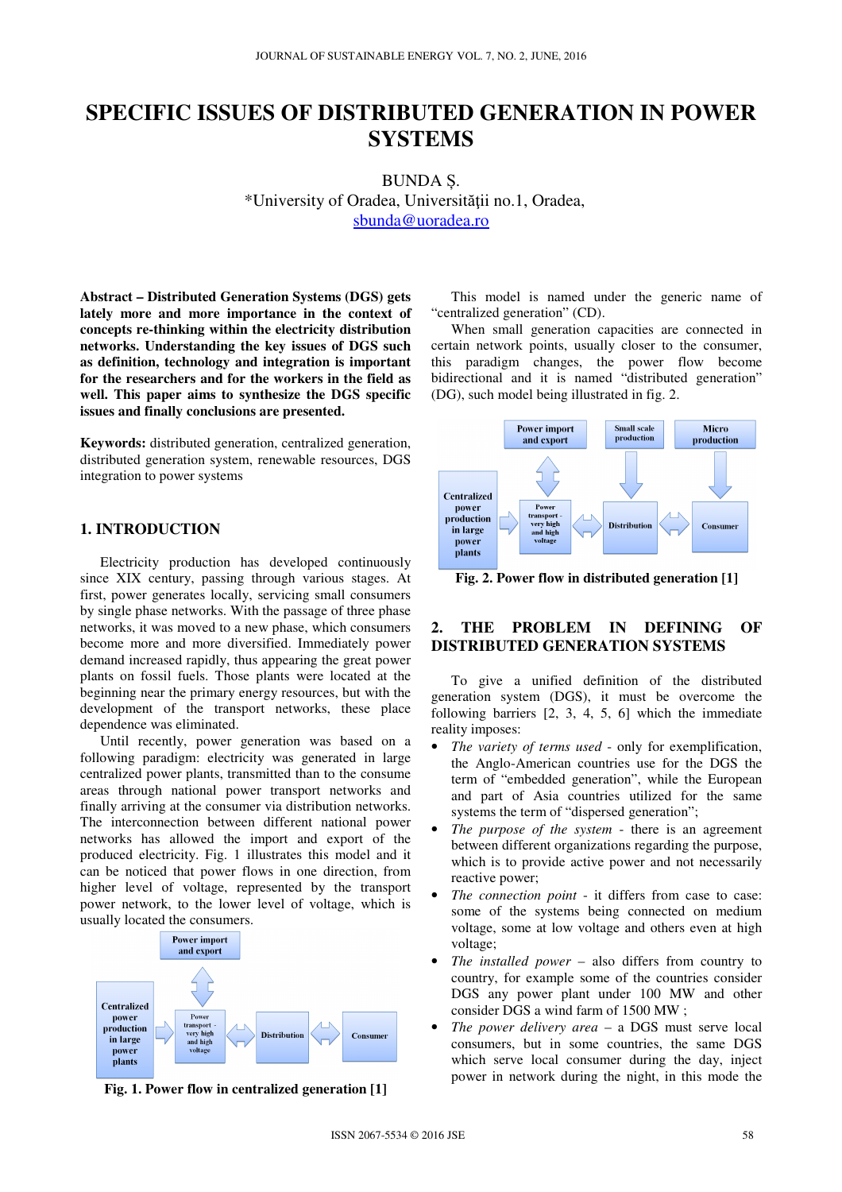# **SPECIFIC ISSUES OF DISTRIBUTED GENERATION IN POWER SYSTEMS**

BUNDA Ș. \*University of Oradea, Universităţii no.1, Oradea, sbunda@uoradea.ro

**Abstract – Distributed Generation Systems (DGS) gets lately more and more importance in the context of concepts re-thinking within the electricity distribution networks. Understanding the key issues of DGS such as definition, technology and integration is important for the researchers and for the workers in the field as well. This paper aims to synthesize the DGS specific issues and finally conclusions are presented.** 

**Keywords:** distributed generation, centralized generation, distributed generation system, renewable resources, DGS integration to power systems

## **1. INTRODUCTION**

Electricity production has developed continuously since XIX century, passing through various stages. At first, power generates locally, servicing small consumers by single phase networks. With the passage of three phase networks, it was moved to a new phase, which consumers become more and more diversified. Immediately power demand increased rapidly, thus appearing the great power plants on fossil fuels. Those plants were located at the beginning near the primary energy resources, but with the development of the transport networks, these place dependence was eliminated.

Until recently, power generation was based on a following paradigm: electricity was generated in large centralized power plants, transmitted than to the consume areas through national power transport networks and finally arriving at the consumer via distribution networks. The interconnection between different national power networks has allowed the import and export of the produced electricity. Fig. 1 illustrates this model and it can be noticed that power flows in one direction, from higher level of voltage, represented by the transport power network, to the lower level of voltage, which is usually located the consumers.



**Fig. 1. Power flow in centralized generation [1]** 

This model is named under the generic name of "centralized generation" (CD).

When small generation capacities are connected in certain network points, usually closer to the consumer, this paradigm changes, the power flow become bidirectional and it is named "distributed generation" (DG), such model being illustrated in fig. 2.



**Fig. 2. Power flow in distributed generation [1]** 

# **2. THE PROBLEM IN DEFINING OF DISTRIBUTED GENERATION SYSTEMS**

To give a unified definition of the distributed generation system (DGS), it must be overcome the following barriers [2, 3, 4, 5, 6] which the immediate reality imposes:

- *The variety of terms used* only for exemplification, the Anglo-American countries use for the DGS the term of "embedded generation", while the European and part of Asia countries utilized for the same systems the term of "dispersed generation";
- *The purpose of the system* there is an agreement between different organizations regarding the purpose, which is to provide active power and not necessarily reactive power;
- *The connection point* it differs from case to case: some of the systems being connected on medium voltage, some at low voltage and others even at high voltage;
- *The installed power* also differs from country to country, for example some of the countries consider DGS any power plant under 100 MW and other consider DGS a wind farm of 1500 MW ;
- *The power delivery area* a DGS must serve local consumers, but in some countries, the same DGS which serve local consumer during the day, inject power in network during the night, in this mode the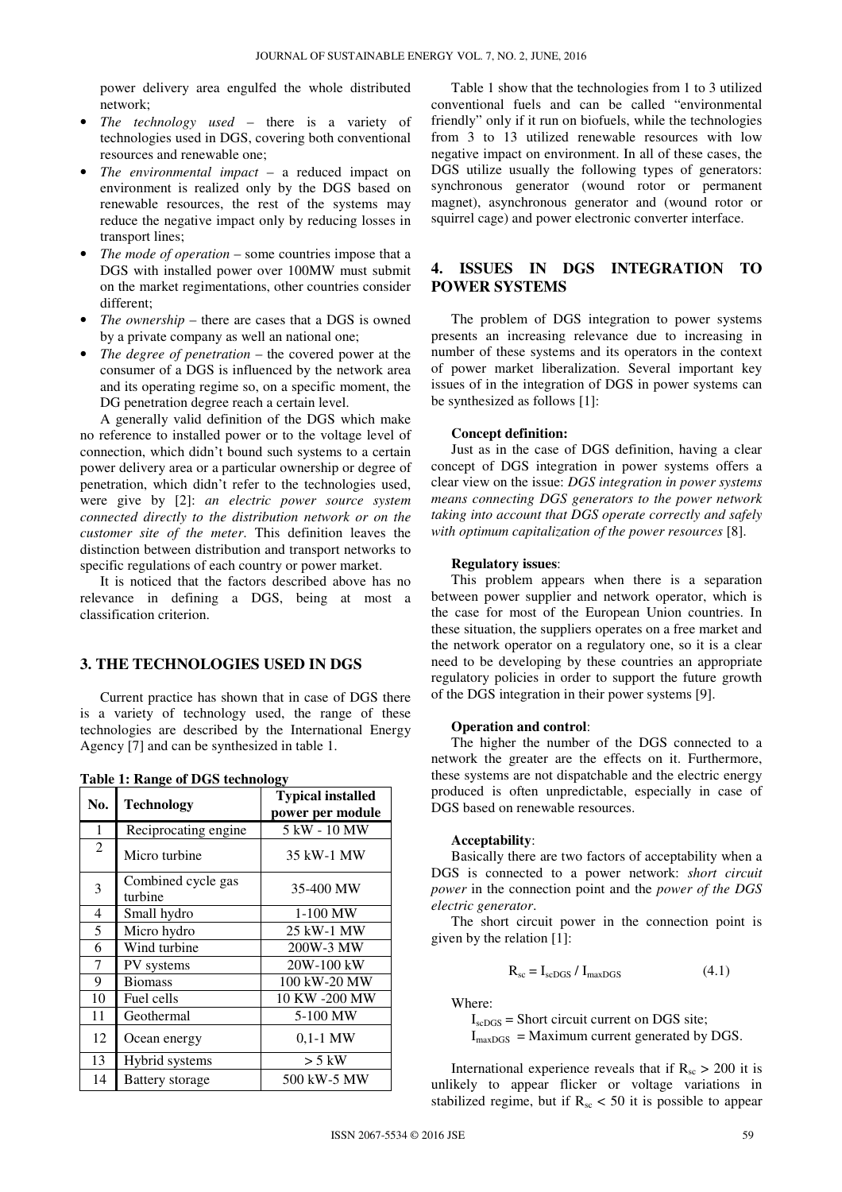power delivery area engulfed the whole distributed network;

- *The technology used* there is a variety of technologies used in DGS, covering both conventional resources and renewable one;
- *The environmental impact* a reduced impact on environment is realized only by the DGS based on renewable resources, the rest of the systems may reduce the negative impact only by reducing losses in transport lines;
- *The mode of operation* some countries impose that a DGS with installed power over 100MW must submit on the market regimentations, other countries consider different;
- *The ownership* there are cases that a DGS is owned by a private company as well an national one;
- *The degree of penetration* the covered power at the consumer of a DGS is influenced by the network area and its operating regime so, on a specific moment, the DG penetration degree reach a certain level.

A generally valid definition of the DGS which make no reference to installed power or to the voltage level of connection, which didn't bound such systems to a certain power delivery area or a particular ownership or degree of penetration, which didn't refer to the technologies used, were give by [2]: *an electric power source system connected directly to the distribution network or on the customer site of the meter*. This definition leaves the distinction between distribution and transport networks to specific regulations of each country or power market.

It is noticed that the factors described above has no relevance in defining a DGS, being at most a classification criterion.

# **3. THE TECHNOLOGIES USED IN DGS**

Current practice has shown that in case of DGS there is a variety of technology used, the range of these technologies are described by the International Energy Agency [7] and can be synthesized in table 1.

| $\frac{1}{2}$ . A $\frac{1}{2}$ and $\frac{1}{2}$ are $\frac{1}{2}$ are $\frac{1}{2}$ |                               |                                              |  |  |  |  |
|---------------------------------------------------------------------------------------|-------------------------------|----------------------------------------------|--|--|--|--|
| No.                                                                                   | <b>Technology</b>             | <b>Typical installed</b><br>power per module |  |  |  |  |
| 1                                                                                     | Reciprocating engine.         | 5 kW - 10 MW                                 |  |  |  |  |
| $\overline{c}$                                                                        | Micro turbine                 | 35 kW-1 MW                                   |  |  |  |  |
| 3                                                                                     | Combined cycle gas<br>turbine | 35-400 MW                                    |  |  |  |  |
| 4                                                                                     | Small hydro                   | $1-100$ MW                                   |  |  |  |  |
| 5                                                                                     | Micro hydro                   | 25 kW-1 MW                                   |  |  |  |  |
| 6                                                                                     | Wind turbine                  | 200W-3 MW                                    |  |  |  |  |
| 7                                                                                     | PV systems                    | 20W-100 kW                                   |  |  |  |  |
| 9                                                                                     | <b>Biomass</b>                | 100 kW-20 MW                                 |  |  |  |  |
| 10                                                                                    | Fuel cells                    | 10 KW -200 MW                                |  |  |  |  |
| 11                                                                                    | Geothermal                    | 5-100 MW                                     |  |  |  |  |
| 12                                                                                    | Ocean energy                  | $0.1 - 1$ MW                                 |  |  |  |  |
| 13                                                                                    | Hybrid systems                | $> 5$ kW                                     |  |  |  |  |
| 14                                                                                    | Battery storage               | 500 kW-5 MW                                  |  |  |  |  |

**Table 1: Range of DGS technology** 

Table 1 show that the technologies from 1 to 3 utilized conventional fuels and can be called "environmental friendly" only if it run on biofuels, while the technologies from 3 to 13 utilized renewable resources with low negative impact on environment. In all of these cases, the DGS utilize usually the following types of generators: synchronous generator (wound rotor or permanent magnet), asynchronous generator and (wound rotor or squirrel cage) and power electronic converter interface.

## **4. ISSUES IN DGS INTEGRATION TO POWER SYSTEMS**

The problem of DGS integration to power systems presents an increasing relevance due to increasing in number of these systems and its operators in the context of power market liberalization. Several important key issues of in the integration of DGS in power systems can be synthesized as follows [1]:

#### **Concept definition:**

Just as in the case of DGS definition, having a clear concept of DGS integration in power systems offers a clear view on the issue: *DGS integration in power systems means connecting DGS generators to the power network taking into account that DGS operate correctly and safely with optimum capitalization of the power resources* [8].

## **Regulatory issues**:

This problem appears when there is a separation between power supplier and network operator, which is the case for most of the European Union countries. In these situation, the suppliers operates on a free market and the network operator on a regulatory one, so it is a clear need to be developing by these countries an appropriate regulatory policies in order to support the future growth of the DGS integration in their power systems [9].

#### **Operation and control**:

The higher the number of the DGS connected to a network the greater are the effects on it. Furthermore, these systems are not dispatchable and the electric energy produced is often unpredictable, especially in case of DGS based on renewable resources.

#### **Acceptability**:

Basically there are two factors of acceptability when a DGS is connected to a power network: *short circuit power* in the connection point and the *power of the DGS electric generator*.

The short circuit power in the connection point is given by the relation [1]:

$$
R_{sc} = I_{scDGS} / I_{maxDGS}
$$
 (4.1)

Where:

 $I_{\rm scDGS}$  = Short circuit current on DGS site;  $I_{\text{maxDGS}} =$  Maximum current generated by DGS.

International experience reveals that if  $R_{sc} > 200$  it is unlikely to appear flicker or voltage variations in stabilized regime, but if  $R_{sc}$  < 50 it is possible to appear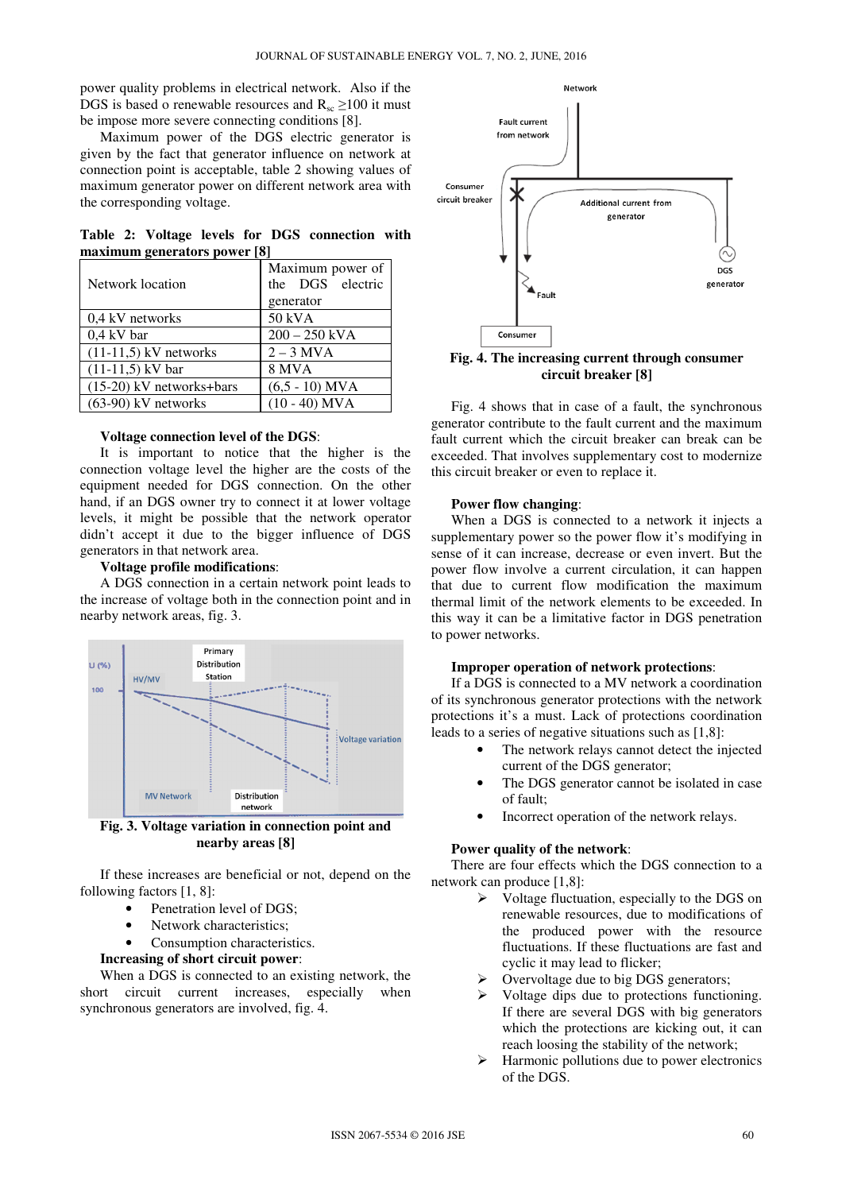power quality problems in electrical network. Also if the DGS is based o renewable resources and  $R_{sc} \ge 100$  it must be impose more severe connecting conditions [8].

Maximum power of the DGS electric generator is given by the fact that generator influence on network at connection point is acceptable, table 2 showing values of maximum generator power on different network area with the corresponding voltage.

|                              |  |  |  |  |  | Table 2: Voltage levels for DGS connection with |  |  |
|------------------------------|--|--|--|--|--|-------------------------------------------------|--|--|
| maximum generators power [8] |  |  |  |  |  |                                                 |  |  |

| Network location           | Maximum power of<br>the DGS electric<br>generator |  |  |
|----------------------------|---------------------------------------------------|--|--|
| 0.4 kV networks            | 50 kVA                                            |  |  |
| $0.4$ kV bar               | $200 - 250$ kVA                                   |  |  |
| $(11-11,5)$ kV networks    | $2 - 3$ MVA                                       |  |  |
| $(11-11,5)$ kV bar         | 8 MVA                                             |  |  |
| $(15-20)$ kV networks+bars | $(6.5 - 10)$ MVA                                  |  |  |
| $(63-90)$ kV networks      | $(10 - 40)$ MVA                                   |  |  |

#### **Voltage connection level of the DGS**:

It is important to notice that the higher is the connection voltage level the higher are the costs of the equipment needed for DGS connection. On the other hand, if an DGS owner try to connect it at lower voltage levels, it might be possible that the network operator didn't accept it due to the bigger influence of DGS generators in that network area.

## **Voltage profile modifications**:

A DGS connection in a certain network point leads to the increase of voltage both in the connection point and in nearby network areas, fig. 3.



**Fig. 3. Voltage variation in connection point and nearby areas [8]** 

If these increases are beneficial or not, depend on the following factors [1, 8]:

- Penetration level of DGS:
- Network characteristics:
- Consumption characteristics.

## **Increasing of short circuit power**:

When a DGS is connected to an existing network, the short circuit current increases, especially when synchronous generators are involved, fig. 4.



**Fig. 4. The increasing current through consumer circuit breaker [8]** 

Fig. 4 shows that in case of a fault, the synchronous generator contribute to the fault current and the maximum fault current which the circuit breaker can break can be exceeded. That involves supplementary cost to modernize this circuit breaker or even to replace it.

## **Power flow changing**:

When a DGS is connected to a network it injects a supplementary power so the power flow it's modifying in sense of it can increase, decrease or even invert. But the power flow involve a current circulation, it can happen that due to current flow modification the maximum thermal limit of the network elements to be exceeded. In this way it can be a limitative factor in DGS penetration to power networks.

#### **Improper operation of network protections**:

If a DGS is connected to a MV network a coordination of its synchronous generator protections with the network protections it's a must. Lack of protections coordination leads to a series of negative situations such as [1,8]:

- The network relays cannot detect the injected current of the DGS generator;
- The DGS generator cannot be isolated in case of fault;
- Incorrect operation of the network relays.

## **Power quality of the network**:

There are four effects which the DGS connection to a network can produce [1,8]:

- $\triangleright$  Voltage fluctuation, especially to the DGS on renewable resources, due to modifications of the produced power with the resource fluctuations. If these fluctuations are fast and cyclic it may lead to flicker;
- $\triangleright$  Overvoltage due to big DGS generators;
- $\triangleright$  Voltage dips due to protections functioning. If there are several DGS with big generators which the protections are kicking out, it can reach loosing the stability of the network;
- $\triangleright$  Harmonic pollutions due to power electronics of the DGS.